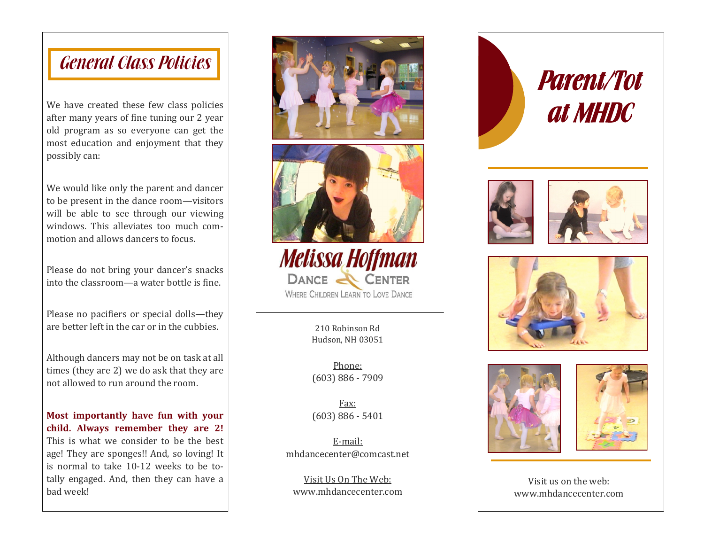## General Class Policies

We have created these few class policies after many years of fine tuning our 2 year old program as so everyone can get the most education and enjoyment that they possibly can:

We would like only the parent and dancer to be present in the dance room—visitors will be able to see through our viewing windows. This alleviates too much commotion and allows dancers to focus.

Please do not bring your dancer's snacks into the classroom—a water bottle is fine.

Please no pacifiers or special dolls—they are better left in the car or in the cubbies.

Although dancers may not be on task at all times (they are 2) we do ask that they are not allowed to run around the room.

**Most importantly have fun with your child. Always remember they are 2!**  This is what we consider to be the best age! They are sponges!! And, so loving! It is normal to take 10-12 weeks to be totally engaged. And, then they can have a bad week!





**Melissa Hoffman** DANCE & CENTER WHERE CHILDREN LEARN TO LOVE DANCE

> 210 Robinson Rd Hudson, NH 03051

Phone: (603) 886 - 7909

Fax: (603) 886 - 5401

E-mail: mhdancecenter@comcast.net

Visit Us On The Web: www.mhdancecenter.com











Visit us on the web: www.mhdancecenter.com